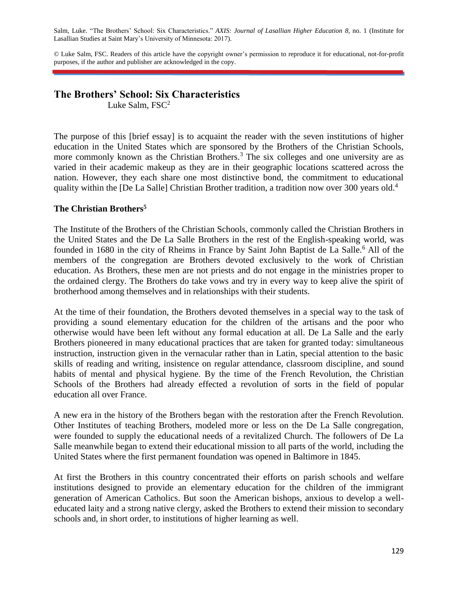Salm, Luke. "The Brothers' School: Six Characteristics." *AXIS: Journal of Lasallian Higher Education 8*, no. 1 (Institute for Lasallian Studies at Saint Mary's University of Minnesota: 2017).

© Luke Salm, FSC. Readers of this article have the copyright owner's permission to reproduce it for educational, not-for-profit purposes, if the author and publisher are acknowledged in the copy.

## **The Brothers' School: Six Characteristics**

Luke Salm,  $FSC^2$ 

The purpose of this [brief essay] is to acquaint the reader with the seven institutions of higher education in the United States which are sponsored by the Brothers of the Christian Schools, more commonly known as the Christian Brothers.<sup>3</sup> The six colleges and one university are as varied in their academic makeup as they are in their geographic locations scattered across the nation. However, they each share one most distinctive bond, the commitment to educational quality within the [De La Salle] Christian Brother tradition, a tradition now over 300 years old.<sup>4</sup>

## **The Christian Brothers<sup>5</sup>**

The Institute of the Brothers of the Christian Schools, commonly called the Christian Brothers in the United States and the De La Salle Brothers in the rest of the English-speaking world, was founded in 1680 in the city of Rheims in France by Saint John Baptist de La Salle.<sup>6</sup> All of the members of the congregation are Brothers devoted exclusively to the work of Christian education. As Brothers, these men are not priests and do not engage in the ministries proper to the ordained clergy. The Brothers do take vows and try in every way to keep alive the spirit of brotherhood among themselves and in relationships with their students.

At the time of their foundation, the Brothers devoted themselves in a special way to the task of providing a sound elementary education for the children of the artisans and the poor who otherwise would have been left without any formal education at all. De La Salle and the early Brothers pioneered in many educational practices that are taken for granted today: simultaneous instruction, instruction given in the vernacular rather than in Latin, special attention to the basic skills of reading and writing, insistence on regular attendance, classroom discipline, and sound habits of mental and physical hygiene. By the time of the French Revolution, the Christian Schools of the Brothers had already effected a revolution of sorts in the field of popular education all over France.

A new era in the history of the Brothers began with the restoration after the French Revolution. Other Institutes of teaching Brothers, modeled more or less on the De La Salle congregation, were founded to supply the educational needs of a revitalized Church. The followers of De La Salle meanwhile began to extend their educational mission to all parts of the world, including the United States where the first permanent foundation was opened in Baltimore in 1845.

At first the Brothers in this country concentrated their efforts on parish schools and welfare institutions designed to provide an elementary education for the children of the immigrant generation of American Catholics. But soon the American bishops, anxious to develop a welleducated laity and a strong native clergy, asked the Brothers to extend their mission to secondary schools and, in short order, to institutions of higher learning as well.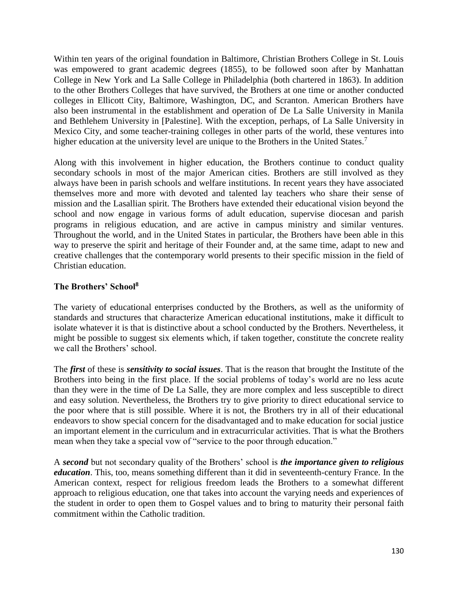Within ten years of the original foundation in Baltimore, Christian Brothers College in St. Louis was empowered to grant academic degrees (1855), to be followed soon after by Manhattan College in New York and La Salle College in Philadelphia (both chartered in 1863). In addition to the other Brothers Colleges that have survived, the Brothers at one time or another conducted colleges in Ellicott City, Baltimore, Washington, DC, and Scranton. American Brothers have also been instrumental in the establishment and operation of De La Salle University in Manila and Bethlehem University in [Palestine]. With the exception, perhaps, of La Salle University in Mexico City, and some teacher-training colleges in other parts of the world, these ventures into higher education at the university level are unique to the Brothers in the United States.<sup>7</sup>

Along with this involvement in higher education, the Brothers continue to conduct quality secondary schools in most of the major American cities. Brothers are still involved as they always have been in parish schools and welfare institutions. In recent years they have associated themselves more and more with devoted and talented lay teachers who share their sense of mission and the Lasallian spirit. The Brothers have extended their educational vision beyond the school and now engage in various forms of adult education, supervise diocesan and parish programs in religious education, and are active in campus ministry and similar ventures. Throughout the world, and in the United States in particular, the Brothers have been able in this way to preserve the spirit and heritage of their Founder and, at the same time, adapt to new and creative challenges that the contemporary world presents to their specific mission in the field of Christian education.

## **The Brothers' School<sup>8</sup>**

The variety of educational enterprises conducted by the Brothers, as well as the uniformity of standards and structures that characterize American educational institutions, make it difficult to isolate whatever it is that is distinctive about a school conducted by the Brothers. Nevertheless, it might be possible to suggest six elements which, if taken together, constitute the concrete reality we call the Brothers' school.

The *first* of these is *sensitivity to social issues*. That is the reason that brought the Institute of the Brothers into being in the first place. If the social problems of today's world are no less acute than they were in the time of De La Salle, they are more complex and less susceptible to direct and easy solution. Nevertheless, the Brothers try to give priority to direct educational service to the poor where that is still possible. Where it is not, the Brothers try in all of their educational endeavors to show special concern for the disadvantaged and to make education for social justice an important element in the curriculum and in extracurricular activities. That is what the Brothers mean when they take a special vow of "service to the poor through education."

A *second* but not secondary quality of the Brothers' school is *the importance given to religious education*. This, too, means something different than it did in seventeenth-century France. In the American context, respect for religious freedom leads the Brothers to a somewhat different approach to religious education, one that takes into account the varying needs and experiences of the student in order to open them to Gospel values and to bring to maturity their personal faith commitment within the Catholic tradition.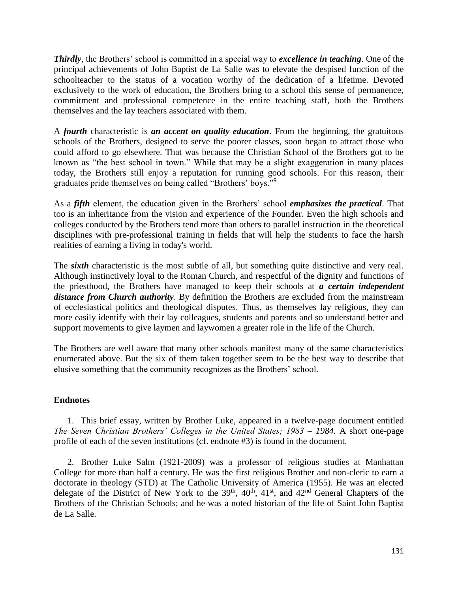*Thirdly*, the Brothers' school is committed in a special way to *excellence in teaching*. One of the principal achievements of John Baptist de La Salle was to elevate the despised function of the schoolteacher to the status of a vocation worthy of the dedication of a lifetime. Devoted exclusively to the work of education, the Brothers bring to a school this sense of permanence, commitment and professional competence in the entire teaching staff, both the Brothers themselves and the lay teachers associated with them.

A *fourth* characteristic is *an accent on quality education*. From the beginning, the gratuitous schools of the Brothers, designed to serve the poorer classes, soon began to attract those who could afford to go elsewhere. That was because the Christian School of the Brothers got to be known as "the best school in town." While that may be a slight exaggeration in many places today, the Brothers still enjoy a reputation for running good schools. For this reason, their graduates pride themselves on being called "Brothers' boys."<sup>9</sup>

As a *fifth* element, the education given in the Brothers' school *emphasizes the practical*. That too is an inheritance from the vision and experience of the Founder. Even the high schools and colleges conducted by the Brothers tend more than others to parallel instruction in the theoretical disciplines with pre-professional training in fields that will help the students to face the harsh realities of earning a living in today's world.

The *sixth* characteristic is the most subtle of all, but something quite distinctive and very real. Although instinctively loyal to the Roman Church, and respectful of the dignity and functions of the priesthood, the Brothers have managed to keep their schools at *a certain independent distance from Church authority*. By definition the Brothers are excluded from the mainstream of ecclesiastical politics and theological disputes. Thus, as themselves lay religious, they can more easily identify with their lay colleagues, students and parents and so understand better and support movements to give laymen and laywomen a greater role in the life of the Church.

The Brothers are well aware that many other schools manifest many of the same characteristics enumerated above. But the six of them taken together seem to be the best way to describe that elusive something that the community recognizes as the Brothers' school.

## **Endnotes**

1. This brief essay, written by Brother Luke, appeared in a twelve-page document entitled *The Seven Christian Brothers' Colleges in the United States; 1983 – 1984.* A short one-page profile of each of the seven institutions (cf. endnote #3) is found in the document.

2. Brother Luke Salm (1921-2009) was a professor of religious studies at Manhattan College for more than half a century. He was the first religious Brother and non-cleric to earn a doctorate in theology (STD) at The Catholic University of America (1955). He was an elected delegate of the District of New York to the  $39<sup>th</sup>$ ,  $40<sup>th</sup>$ ,  $41<sup>st</sup>$ , and  $42<sup>nd</sup>$  General Chapters of the Brothers of the Christian Schools; and he was a noted historian of the life of Saint John Baptist de La Salle.